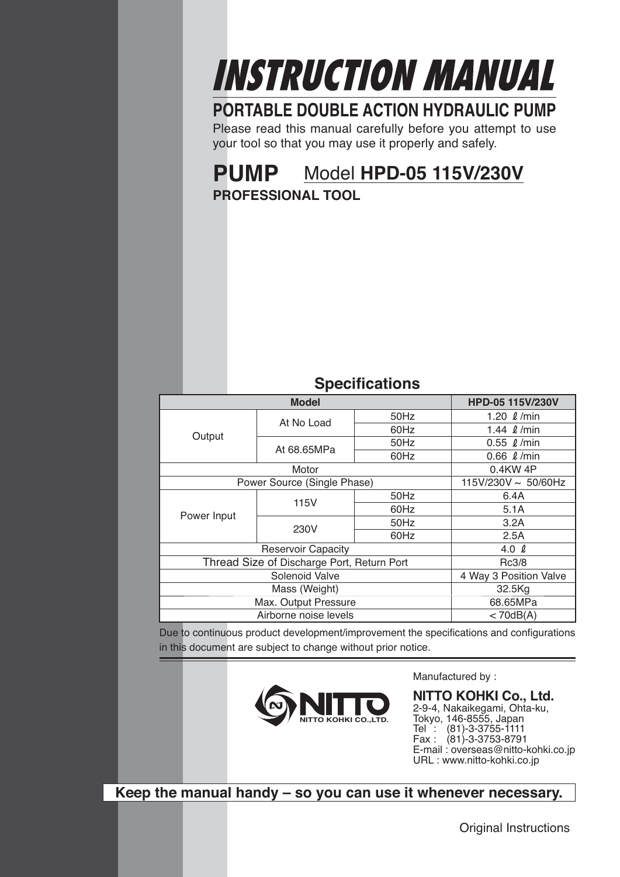# INSTRUCTION MANUAL

# **PORTABLE DOUBLE ACTION HYDRAULIC PUMP**

Please read this manual carefully before you attempt to use your tool so that you may use it properly and safely.

# **PUMP** Model **HPD-05 115V/230V**

**PROFESSIONAL TOOL**

# **Specifications**

| <u>opoomoanono</u>                         |                             |      |                           |  |
|--------------------------------------------|-----------------------------|------|---------------------------|--|
|                                            | <b>Model</b>                |      | HPD-05 115V/230V          |  |
| At No Load                                 |                             | 50Hz | 1.20 $\ell$ /min          |  |
| Output                                     |                             | 60Hz | 1.44 $\ell$ /min          |  |
|                                            | At 68.65MPa                 | 50Hz | $0.55 \ell$ /min          |  |
|                                            |                             | 60Hz | $0.66 \ell$ /min          |  |
|                                            | Motor                       |      | 0.4KW 4P                  |  |
|                                            | Power Source (Single Phase) |      | 115V/230V $\sim 50/60$ Hz |  |
|                                            | 115V                        | 50Hz | 6.4A                      |  |
| Power Input                                |                             | 60Hz | 5.1A                      |  |
|                                            | 230V                        | 50Hz | 3.2A                      |  |
|                                            |                             | 60Hz | 2.5A                      |  |
| <b>Reservoir Capacity</b>                  |                             |      | 4.0 $\ell$                |  |
| Thread Size of Discharge Port, Return Port |                             |      | Rc3/8                     |  |
| Solenoid Valve                             |                             |      | 4 Way 3 Position Valve    |  |
| Mass (Weight)                              |                             |      | 32.5Kg                    |  |
|                                            | Max. Output Pressure        |      | 68.65MPa                  |  |
|                                            | Airborne noise levels       |      | < 70dB(A)                 |  |

Due to continuous product development/improvement the specifications and configurations in this document are subject to change without prior notice.



Manufactured by :

**NITTO KOHKI Co., Ltd.** 2-9-4, Nakaikegami, Ohta-ku, Tokyo, 146-8555, Japan Tel : (81)-3-3755-1111 Fax : (81)-3-3753-8791 E-mail : overseas@nitto-kohki.co.jp URL : www.nitto-kohki.co.jp

**Keep the manual handy – so you can use it whenever necessary.**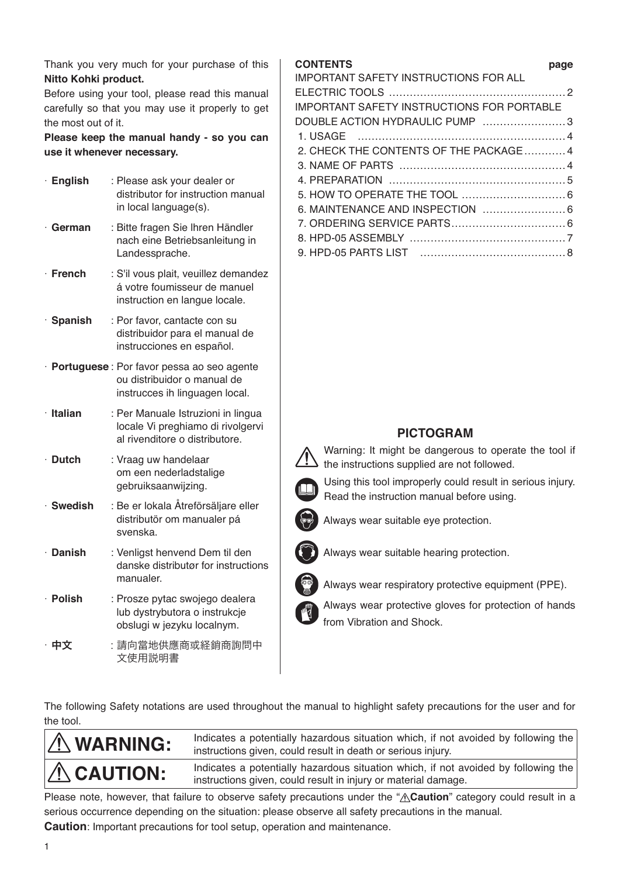Thank you very much for your purchase of this **Nitto Kohki product.**

Before using your tool, please read this manual carefully so that you may use it properly to get the most out of it.

**Please keep the manual handy - so you can use it whenever necessary.**

| $\cdot$ English | : Please ask your dealer or<br>distributor for instruction manual<br>in local language(s).                   |
|-----------------|--------------------------------------------------------------------------------------------------------------|
| German          | : Bitte fragen Sie Ihren Händler<br>nach eine Betriebsanleitung in<br>Landessprache.                         |
| · French        | : S'il vous plait, veuillez demandez<br>á votre foumisseur de manuel<br>instruction en langue locale.        |
| · Spanish       | : Por favor, cantacte con su<br>distribuidor para el manual de<br>instrucciones en español.                  |
|                 | · Portuguese: Por favor pessa ao seo agente<br>ou distribuidor o manual de<br>instrucces ih linguagen local. |
| · Italian       | : Per Manuale Istruzioni in lingua<br>locale Vi preghiamo di rivolgervi<br>al rivenditore o distributore.    |
| $\cdot$ Dutch   | : Vraag uw handelaar<br>om een nederladstalige<br>gebruiksaanwijzing.                                        |
| · Swedish       | : Be er lokala Åtreförsäljare eller<br>distributör om manualer pá<br>svenska.                                |
| · Danish        | : Venligst henvend Dem til den<br>danske distributør for instructions<br>manualer.                           |
| · Polish        | : Prosze pytac swojego dealera<br>lub dystrybutora o instrukcje<br>obslugi w jezyku localnym.                |
| 中文              | :請向當地供應商或経銷商詢問中<br>文使用説明書                                                                                    |

## **CONTENTS page**

| <b>IMPORTANT SAFETY INSTRUCTIONS FOR ALL</b>      |  |
|---------------------------------------------------|--|
|                                                   |  |
| <b>IMPORTANT SAFETY INSTRUCTIONS FOR PORTABLE</b> |  |
| DOUBLE ACTION HYDRAULIC PUMP 3                    |  |
|                                                   |  |
| 2. CHECK THE CONTENTS OF THE PACKAGE4             |  |
|                                                   |  |
|                                                   |  |
|                                                   |  |
|                                                   |  |
|                                                   |  |
|                                                   |  |
|                                                   |  |
|                                                   |  |

# **PICTOGRAM**

 Warning: It might be dangerous to operate the tool if  $\blacktriangle$  the instructions supplied are not followed.



 Using this tool improperly could result in serious injury. Read the instruction manual before using.



Always wear suitable eye protection.



Always wear suitable hearing protection.

Always wear respiratory protective equipment (PPE).

 Always wear protective gloves for protection of hands from Vibration and Shock.

The following Safety notations are used throughout the manual to highlight safety precautions for the user and for the tool.

| $\Lambda$ WARNING: | Indicates a potentially hazardous situation which, if not avoided by following the<br>instructions given, could result in death or serious injury.   |
|--------------------|------------------------------------------------------------------------------------------------------------------------------------------------------|
| $\Lambda$ CAUTION: | Indicates a potentially hazardous situation which, if not avoided by following the<br>instructions given, could result in injury or material damage. |

Please note, however, that failure to observe safety precautions under the "**A Caution**" category could result in a serious occurrence depending on the situation: please observe all safety precautions in the manual. **Caution**: Important precautions for tool setup, operation and maintenance.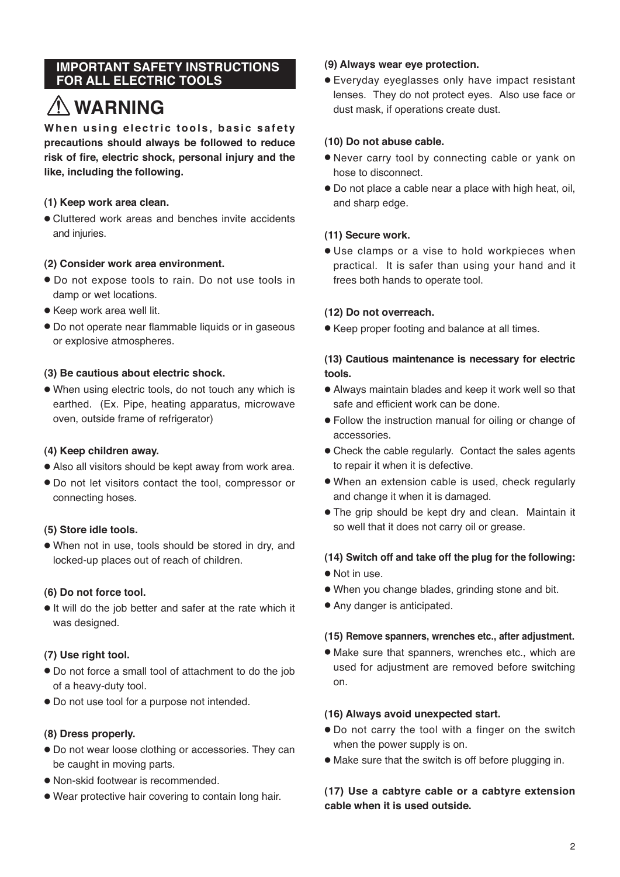# **IMPORTANT SAFETY INSTRUCTIONS FOR ALL ELECTRIC TOOLS**

# **WARNING**

When using electric tools, basic safety **precautions should always be followed to reduce risk of fire, electric shock, personal injury and the like, including the following.**

# **(1) Keep work area clean.**

● Cluttered work areas and benches invite accidents and injuries.

#### **(2) Consider work area environment.**

- Do not expose tools to rain. Do not use tools in damp or wet locations.
- Keep work area well lit.
- Do not operate near flammable liquids or in gaseous or explosive atmospheres.

#### **(3) Be cautious about electric shock.**

● When using electric tools, do not touch any which is earthed. (Ex. Pipe, heating apparatus, microwave oven, outside frame of refrigerator)

#### **(4) Keep children away.**

- Also all visitors should be kept away from work area.
- Do not let visitors contact the tool, compressor or connecting hoses.

#### **(5) Store idle tools.**

● When not in use, tools should be stored in dry, and locked-up places out of reach of children.

#### **(6) Do not force tool.**

● It will do the job better and safer at the rate which it was designed.

# **(7) Use right tool.**

- Do not force a small tool of attachment to do the job of a heavy-duty tool.
- Do not use tool for a purpose not intended.

#### **(8) Dress properly.**

- Do not wear loose clothing or accessories. They can be caught in moving parts.
- Non-skid footwear is recommended.
- Wear protective hair covering to contain long hair.

#### **(9) Always wear eye protection.**

● Everyday eyeglasses only have impact resistant lenses. They do not protect eyes. Also use face or dust mask, if operations create dust.

#### **(10) Do not abuse cable.**

- Never carry tool by connecting cable or yank on hose to disconnect.
- Do not place a cable near a place with high heat, oil, and sharp edge.

# **(11) Secure work.**

● Use clamps or a vise to hold workpieces when practical. It is safer than using your hand and it frees both hands to operate tool.

#### **(12) Do not overreach.**

● Keep proper footing and balance at all times.

## **(13) Cautious maintenance is necessary for electric tools.**

- Always maintain blades and keep it work well so that safe and efficient work can be done.
- Follow the instruction manual for oiling or change of accessories.
- Check the cable regularly. Contact the sales agents to repair it when it is defective.
- When an extension cable is used, check regularly and change it when it is damaged.
- The grip should be kept dry and clean. Maintain it so well that it does not carry oil or grease.

# **(14) Switch off and take off the plug for the following:**

- Not in use.
- When you change blades, grinding stone and bit.
- Any danger is anticipated.

#### **(15) Remove spanners, wrenches etc., after adjustment.**

● Make sure that spanners, wrenches etc., which are used for adjustment are removed before switching on.

#### **(16) Always avoid unexpected start.**

- Do not carry the tool with a finger on the switch when the power supply is on.
- Make sure that the switch is off before plugging in.

#### **(17) Use a cabtyre cable or a cabtyre extension cable when it is used outside.**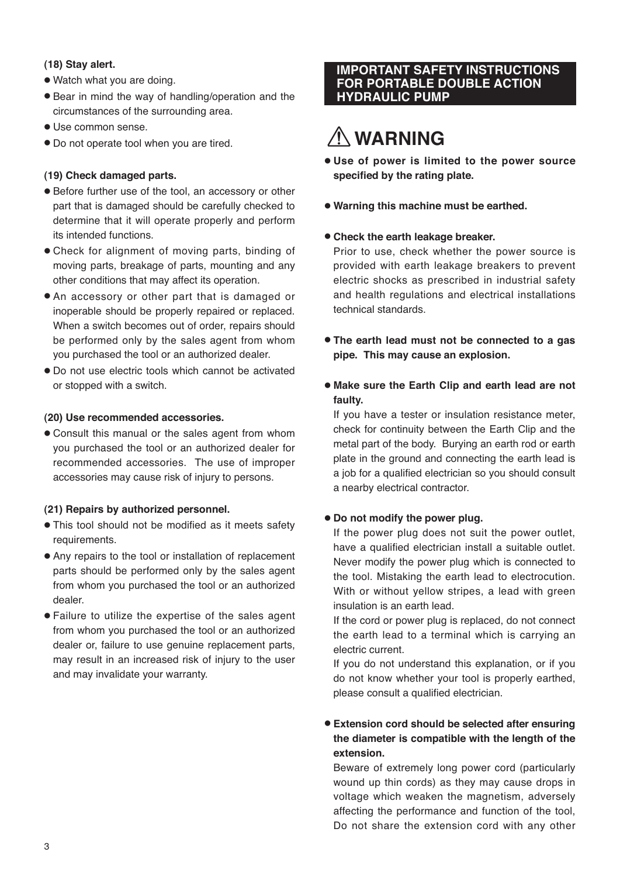## **(18) Stay alert.**

- Watch what you are doing.
- Bear in mind the way of handling/operation and the circumstances of the surrounding area.
- Use common sense.
- Do not operate tool when you are tired.

# **(19) Check damaged parts.**

- Before further use of the tool, an accessory or other part that is damaged should be carefully checked to determine that it will operate properly and perform its intended functions.
- Check for alignment of moving parts, binding of moving parts, breakage of parts, mounting and any other conditions that may affect its operation.
- An accessory or other part that is damaged or inoperable should be properly repaired or replaced. When a switch becomes out of order, repairs should be performed only by the sales agent from whom you purchased the tool or an authorized dealer.
- Do not use electric tools which cannot be activated or stopped with a switch.

#### **(20) Use recommended accessories.**

● Consult this manual or the sales agent from whom you purchased the tool or an authorized dealer for recommended accessories. The use of improper accessories may cause risk of injury to persons.

#### **(21) Repairs by authorized personnel.**

- This tool should not be modified as it meets safety requirements.
- Any repairs to the tool or installation of replacement parts should be performed only by the sales agent from whom you purchased the tool or an authorized dealer.
- Failure to utilize the expertise of the sales agent from whom you purchased the tool or an authorized dealer or, failure to use genuine replacement parts, may result in an increased risk of injury to the user and may invalidate your warranty.

# **IMPORTANT SAFETY INSTRUCTIONS FOR PORTABLE DOUBLE ACTION HYDRAULIC PUMP**

# **WARNING**

- **Use of power is limited to the power source specified by the rating plate.**
- **Warning this machine must be earthed.**
- **Check the earth leakage breaker.**

Prior to use, check whether the power source is provided with earth leakage breakers to prevent electric shocks as prescribed in industrial safety and health regulations and electrical installations technical standards.

- **The earth lead must not be connected to a gas pipe. This may cause an explosion.**
- **Make sure the Earth Clip and earth lead are not faulty.**

If you have a tester or insulation resistance meter, check for continuity between the Earth Clip and the metal part of the body. Burying an earth rod or earth plate in the ground and connecting the earth lead is a job for a qualified electrician so you should consult a nearby electrical contractor.

# ● **Do not modify the power plug.**

If the power plug does not suit the power outlet, have a qualified electrician install a suitable outlet. Never modify the power plug which is connected to the tool. Mistaking the earth lead to electrocution. With or without yellow stripes, a lead with green insulation is an earth lead.

If the cord or power plug is replaced, do not connect the earth lead to a terminal which is carrying an electric current.

If you do not understand this explanation, or if you do not know whether your tool is properly earthed, please consult a qualified electrician.

# ● **Extension cord should be selected after ensuring the diameter is compatible with the length of the extension.**

Beware of extremely long power cord (particularly wound up thin cords) as they may cause drops in voltage which weaken the magnetism, adversely affecting the performance and function of the tool, Do not share the extension cord with any other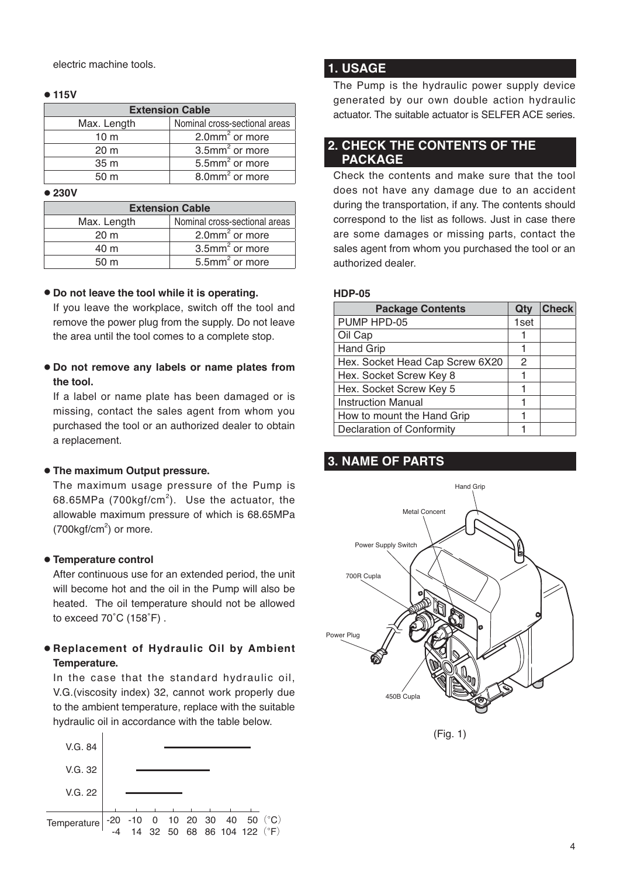electric machine tools.

#### ● **115V**

|                 | <b>Extension Cable</b>        |
|-----------------|-------------------------------|
| Max. Length     | Nominal cross-sectional areas |
| 10 <sub>m</sub> | 2.0 $mm2$ or more             |
| 20 <sub>m</sub> | $3.5$ mm <sup>2</sup> or more |
| 35 <sub>m</sub> | $5.5$ mm <sup>2</sup> or more |
| 50 <sub>m</sub> | 8.0mm <sup>2</sup> or more    |

● **230V**

|                 | <b>Extension Cable</b>        |
|-----------------|-------------------------------|
| Max. Length     | Nominal cross-sectional areas |
| $20 \text{ m}$  | 2.0 $mm2$ or more             |
| 40 m            | $3.5$ mm <sup>2</sup> or more |
| 50 <sub>m</sub> | $5.5$ mm <sup>2</sup> or more |

#### ● **Do not leave the tool while it is operating.**

If you leave the workplace, switch off the tool and remove the power plug from the supply. Do not leave the area until the tool comes to a complete stop.

● **Do not remove any labels or name plates from the tool.**

If a label or name plate has been damaged or is missing, contact the sales agent from whom you purchased the tool or an authorized dealer to obtain a replacement.

#### ● **The maximum Output pressure.**

The maximum usage pressure of the Pump is 68.65MPa (700 $kgf/cm^2$ ). Use the actuator, the allowable maximum pressure of which is 68.65MPa  $(700$ kgf/cm<sup>2</sup>) or more.

#### ● **Temperature control**

After continuous use for an extended period, the unit will become hot and the oil in the Pump will also be heated. The oil temperature should not be allowed to exceed 70˚C (158˚F) .

# ● **Replacement of Hydraulic Oil by Ambient Temperature.**

In the case that the standard hydraulic oil, V.G.(viscosity index) 32, cannot work properly due to the ambient temperature, replace with the suitable hydraulic oil in accordance with the table below.



# **1. USAGE**

The Pump is the hydraulic power supply device generated by our own double action hydraulic actuator. The suitable actuator is SELFER ACE series.

# **2. CHECK THE CONTENTS OF THE PACKAGE**

Check the contents and make sure that the tool does not have any damage due to an accident during the transportation, if any. The contents should correspond to the list as follows. Just in case there are some damages or missing parts, contact the sales agent from whom you purchased the tool or an authorized dealer.

#### **HDP-05**

| <b>Package Contents</b>          | Qty  | <b>Check</b> |
|----------------------------------|------|--------------|
| PUMP HPD-05                      | 1set |              |
| Oil Cap                          |      |              |
| <b>Hand Grip</b>                 |      |              |
| Hex. Socket Head Cap Screw 6X20  | 2    |              |
| Hex. Socket Screw Key 8          |      |              |
| Hex. Socket Screw Key 5          |      |              |
| <b>Instruction Manual</b>        |      |              |
| How to mount the Hand Grip       |      |              |
| <b>Declaration of Conformity</b> |      |              |

# **3. NAME OF PARTS**



(Fig. 1)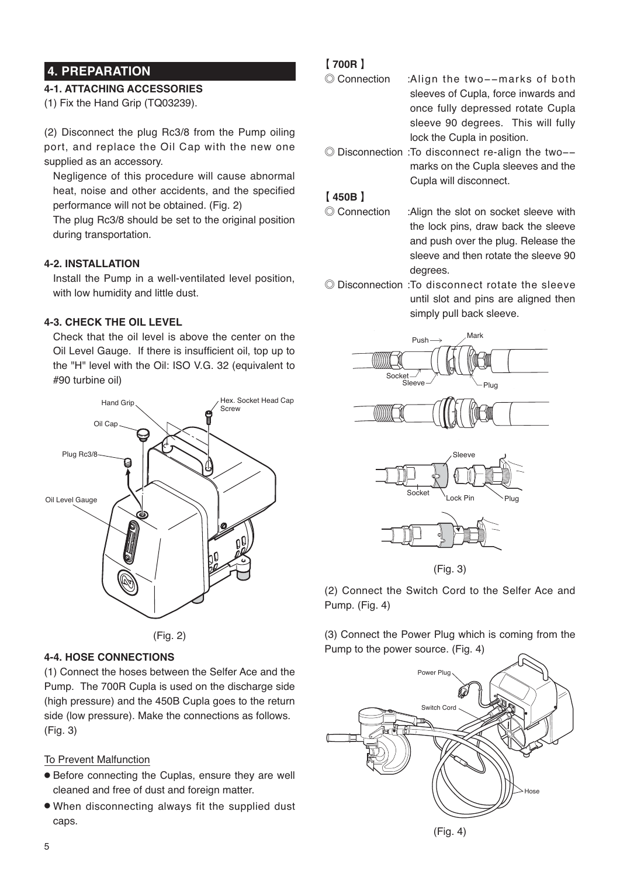# **4. PREPARATION**

# **4-1. ATTACHING ACCESSORIES**

(1) Fix the Hand Grip (TQ03239).

(2) Disconnect the plug Rc3/8 from the Pump oiling port, and replace the Oil Cap with the new one supplied as an accessory.

Negligence of this procedure will cause abnormal heat, noise and other accidents, and the specified performance will not be obtained. (Fig. 2)

The plug Rc3/8 should be set to the original position during transportation.

# **4-2. INSTALLATION**

Install the Pump in a well-ventilated level position, with low humidity and little dust.

#### **4-3. CHECK THE OIL LEVEL**

Check that the oil level is above the center on the Oil Level Gauge. If there is insufficient oil, top up to the "H" level with the Oil: ISO V.G. 32 (equivalent to #90 turbine oil)





# **4-4. HOSE CONNECTIONS**

(1) Connect the hoses between the Selfer Ace and the Pump. The 700R Cupla is used on the discharge side (high pressure) and the 450B Cupla goes to the return side (low pressure). Make the connections as follows. (Fig. 3)

#### To Prevent Malfunction

- Before connecting the Cuplas, ensure they are well cleaned and free of dust and foreign matter.
- When disconnecting always fit the supplied dust caps.

# 【 **700R** 】

- ◎ Connection : Align the two−−marks of both sleeves of Cupla, force inwards and once fully depressed rotate Cupla sleeve 90 degrees. This will fully lock the Cupla in position.
- ◎ Disconnection : To disconnect re-align the two−− marks on the Cupla sleeves and the Cupla will disconnect.

#### 【 **450B** 】

- ◎ Connection : Align the slot on socket sleeve with the lock pins, draw back the sleeve and push over the plug. Release the sleeve and then rotate the sleeve 90 degrees.
- ◎ Disconnection : To disconnect rotate the sleeve until slot and pins are aligned then simply pull back sleeve.







(Fig. 3)

(2) Connect the Switch Cord to the Selfer Ace and Pump. (Fig. 4)

(3) Connect the Power Plug which is coming from the Pump to the power source. (Fig. 4)



(Fig. 4)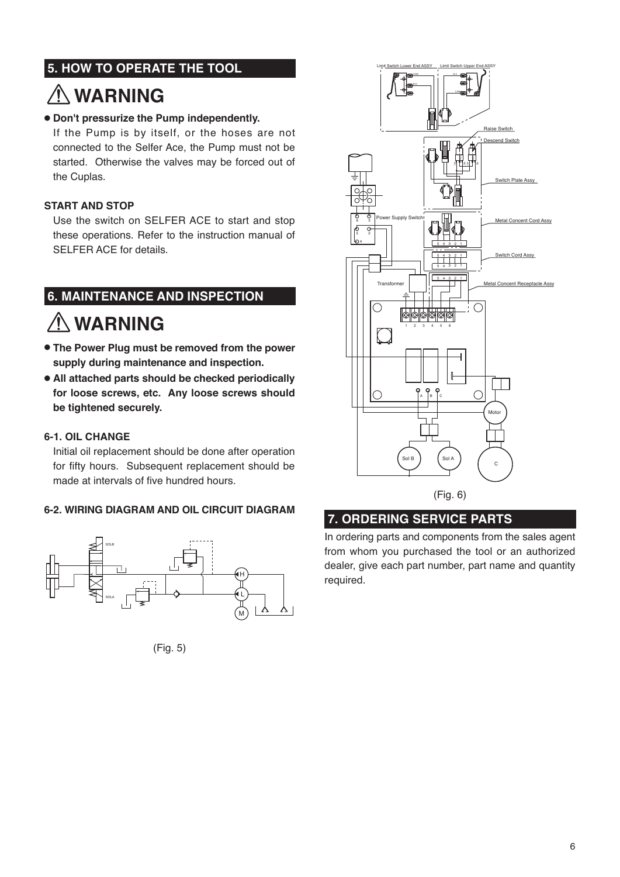# **5. HOW TO OPERATE THE TOOL**

# **WARNING**

# ● **Don't pressurize the Pump independently.**

If the Pump is by itself, or the hoses are not connected to the Selfer Ace, the Pump must not be started. Otherwise the valves may be forced out of the Cuplas.

# **START AND STOP**

Use the switch on SELFER ACE to start and stop these operations. Refer to the instruction manual of SELFER ACE for details.

# **6. MAINTENANCE AND INSPECTION**

# **WARNING**

- **The Power Plug must be removed from the power supply during maintenance and inspection.**
- **All attached parts should be checked periodically for loose screws, etc. Any loose screws should be tightened securely.**

## **6-1. OIL CHANGE**

Initial oil replacement should be done after operation for fifty hours. Subsequent replacement should be made at intervals of five hundred hours.

# **6-2. WIRING DIAGRAM AND OIL CIRCUIT DIAGRAM**



(Fig. 5)



# **7. ORDERING SERVICE PARTS**

In ordering parts and components from the sales agent from whom you purchased the tool or an authorized dealer, give each part number, part name and quantity required.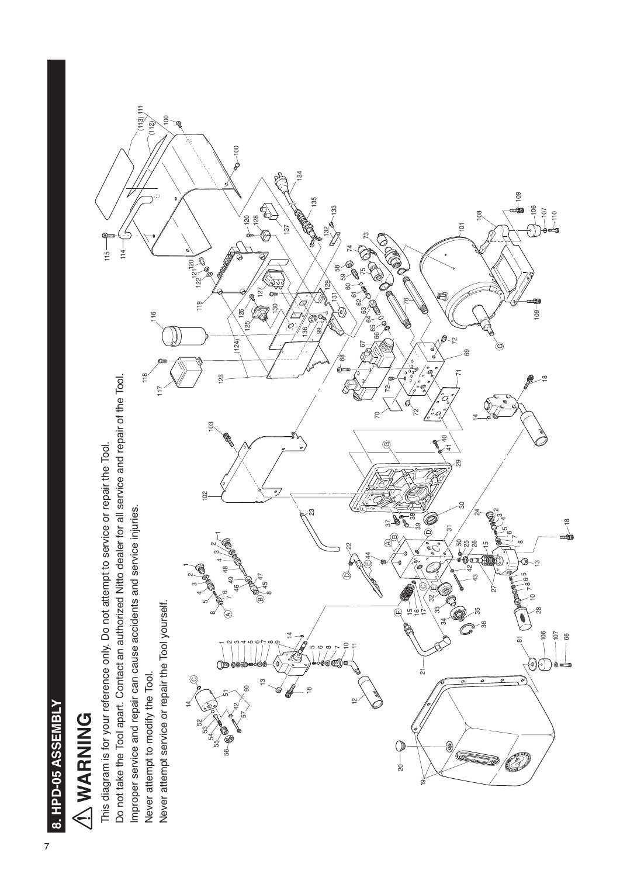

# A WARNING **WARNING**

Do not take the Tool apart. Contact an authorized Nitto dealer for all service and repair of the Tool. Do not take the Tool apart. Contact an authorized Nitto dealer for all service and repair of the Tool. This diagram is for your reference only. Do not attempt to service or repair the Tool. This diagram is for your reference only. Do not attempt to service or repair the Tool. Improper service and repair can cause accidents and service injuries. Improper service and repair can cause accidents and service injuries. Never attempt service or repair the Tool yourself. Never attempt to modify the Tool. Never attempt to modify the Tool.

Ε (113) (112)

116<br>11

 

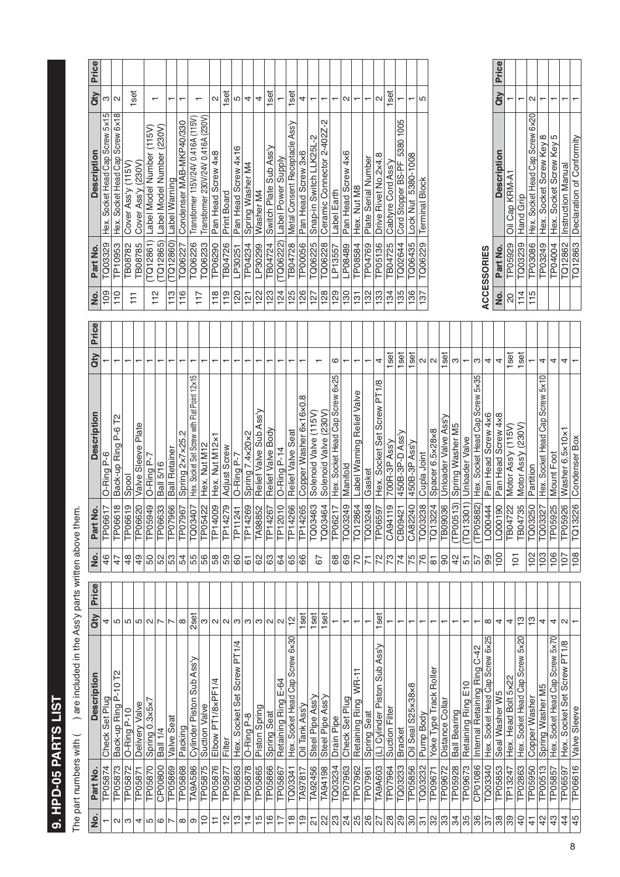# 9. HPD-05 PARTS LIST **9. HPD-05 PARTS LIST**

The part numbers with  $($   $)$  are included in the Assly parts written above them. The part numbers with ( ) are included in the Ass'y parts written above them.

| <u>ş</u>                         | Part No.       | <b>Description</b>                          | Qty            | Price | <u>o</u>                | <b>Irt No.</b><br><b>Pa</b> | Description                                 | Qty    | Price | <u>o</u>           | Part No.           | <b>Description</b>                 | Price<br>Qty      |
|----------------------------------|----------------|---------------------------------------------|----------------|-------|-------------------------|-----------------------------|---------------------------------------------|--------|-------|--------------------|--------------------|------------------------------------|-------------------|
|                                  | TP05874        | Check Set Plug                              | 4              |       | 46                      | TP06617                     | O-Ring P-6                                  |        |       | 109                | TQ03329            | Hex. Socket Head Cap Screw 5x15    | ω                 |
| $\sim$                           | TP05873        | 2L<br>$\circ$<br>군<br>Back-up Ring          | LO             |       | 47                      | TP06618                     | P-6 T2<br>Back-up Ring                      |        |       | 110                | <b>TP10953</b>     | Hex. Socket Head Cap Screw 6x18    | $\mathbf{\Omega}$ |
| က                                | TP05872        | O-Ring P-10                                 | LO.            |       | 48                      | TP06619                     | Spool                                       |        |       |                    | TB08782            | Cover Ass'y (115V)                 |                   |
| 4                                | TP05871        | Delivery Valve                              | 5              |       | $\overline{6}$          | TP06620                     | Valve Sleeve Plate                          |        |       | F                  | TB08785            | (230V)<br>Cover Ass'y              | set               |
| 5                                | TP05870        | Spring 0.3×5×7                              | $\sim$         |       | 50                      | TP05949                     | O-Ring P-7                                  |        |       |                    | TQ12861)           | Label Model Number (115V)          |                   |
| ဖ                                | CP00800        | Ball 1/4                                    | ∣ト             |       | 52                      | TP06633                     | <b>Ball 5/16</b>                            |        |       | 112                | TQ12865)           | Label Model Number (230V)          | ↽                 |
| $\overline{ }$                   | TP05869        | Valve Seat                                  | $\overline{ }$ |       | 53                      | TP07966                     | <b>Ball Retainer</b>                        |        |       | 113                | TQ12860)           | Label Warning                      | ┯                 |
| ${}^{\circ}$                     | <b>TP05868</b> | Packing                                     | $\infty$       |       |                         | TP07967                     | N<br>Spring 2x7x25                          |        |       | 116                | TQ06227            | Condenser MAB-MKP40/330            | ┯                 |
| တ                                | <b>TA9A586</b> | Cylinder Piston Sub Ass'y                   | 2set           |       | $\frac{5}{4}$           | TQ03407                     | Hex. Socket Set Screw with Flat Point 12x15 |        |       | 717                | TQ06226            | Transformer 115V/24V 0.416A (115V) |                   |
| ₽                                | TP05875        | <b>Suction Valve</b>                        | S              |       | 56                      | TP05422                     | Hex. Nut M12                                |        |       |                    | TQ06233            | Transformer 230V/24V 0.416A (230V) |                   |
|                                  | TP05876        | Elbow PT1/8xPF1/4                           | $\sim$         |       | 58                      | TP14009                     | Hex. Nut M12x1                              |        |       | 118                | TP06290            | Pan Head Screw 4x8                 | $\sim$            |
| $\frac{\infty}{\tau}$            | TP05877        | Filter                                      | $\sim$ $\sim$  |       | ြို့                    | TP14279                     | Adjust Screw                                |        |       | $\frac{9}{11}$     | <b>TB04726</b>     | Print Board                        | set               |
| ုက္                              | TP05863        | PT1/4<br>Hex. Socket Set Screw              |                |       | $\mbox{6}$              | TP11241                     | O-Ring P-7                                  |        |       | 120                | LP30251            | Pan Head Screw 4x16                | 5                 |
| $\overline{4}$<br>$\frac{15}{1}$ | TP05878        | O-Ring P-8                                  | ო              |       | $\overline{6}$          | TP14269                     | Spring 7.4x20x2                             |        |       | $\frac{1}{2}$      | TP04234            | Spring Washer M4                   | 4                 |
|                                  | TP05865        | Piston Spring                               | S              |       | 62                      | <b>TA98852</b>              | Relief Valve Sub Ass'y                      |        |       | 122                | LP30299            | Washer M4                          | 4                 |
|                                  | <b>TP05866</b> | Spring Seat                                 | $\sim$         |       | ြို့                    | TP14267                     | Relief Valve Body                           |        |       | 123                | TB04724            | Switch Plate Sub Ass'y             | set               |
|                                  | TP05867        | Retaining Ring E-64                         | $\sim$         |       | 64                      | TP12010                     | O-Ring P-14                                 |        |       | 124                | TQ06222)           | Label Power Supply                 |                   |
|                                  | TQ03341        | $6\times30$<br>Hex. Socket Head Cap Screw   | 은              |       | 65                      | TP14266                     | Seat<br>Relief Valve                        |        |       | 125                | TB04728            | Metal Consent Receptacle Ass'y     | 1set              |
|                                  | TA97817        | Oil Tank Ass'y                              | 1set           |       | 89                      | TP14265                     | Copper Washer 6x16x0.8                      |        |       | 126                | TP00056            | Pan Head Screw 3x6                 | 4                 |
|                                  | TA92456        | Steel Pipe Ass'y                            | 1set           |       | 67                      | TQ03463                     | Solenoid Valve (115V)                       |        |       | 127                | TQ06225            | Snap-in Switch LLK25L-2            | ᠇                 |
|                                  | TA94198        | Steel Pipe Ass'y                            | 1set           |       |                         | TQ03464                     | 230V<br>Solenoid Valve                      |        |       | 128                | TQ06228            | Ceramic Connector 2-402Z-2         | ┯                 |
|                                  | TQ03234        | Drain Pipe                                  |                |       | 89                      | TP06217                     | Hex. Socket Head Cap Screw 6x25             | ဖ      |       | 129                | LP13557            | Label Earth                        |                   |
|                                  | TP07963        | Check Set Plug                              | ┯              |       | 69                      | TQ03249                     | Manifold                                    |        |       | 130                | LP08489            | Pan Head Screw 4x6                 | $\sim$            |
|                                  | TP07962        | WR-11<br><b>Retaining Ring</b>              |                |       | $\overline{70}$         | TQ12864                     | Label Warning Relief Valve                  |        |       | $\frac{5}{1}$      | TP08584            | Hex. Nut M8                        | ┯                 |
|                                  | TP07961        | Spring Seat                                 | ┯              |       | $\overline{r}$          | TQ03248                     | Gasket                                      | ┯      |       | 132                | TP04769            | Plate Serial Number                | ┯                 |
|                                  | TA9A603        | (L) Cylinder Piston Sub Ass'y               | 1set           |       | $\frac{2}{73}$          | TP06597                     | Hex. Socket Set Screw PT1/8                 | 4      |       | 133                | TP05136            | Drive Rivet No.2x4.8               | $\sim$            |
|                                  | TP07964        | Suction Filter                              |                |       |                         | CA94119                     | 700R-3P Ass'y                               | 1set   |       | 134                | TB04725            | Cabtyre Cord Ass'y                 | set               |
|                                  | TQ03233        | <b>Bracket</b>                              | ↽              |       | $\overline{7}$          | CB09421                     | 450B-3P-D Ass'y                             | 1set   |       | 135                | TQ02644            | Cord Stopper BS-PF 5380 1005       |                   |
|                                  | TP05856        | S25×38×8<br>Oil Seal                        |                |       | $\overline{5}$          | CA82240                     | 450B-3P Ass'y                               | set    |       | 136                | TQ06435            | Lock Nut 5380-1008                 |                   |
|                                  | TQ03232        | Pump Body                                   | ↽              |       | 76                      | TQ03238                     | Cupla Joint                                 | 2<br>2 |       | 137                | TQ06229            | <b>Terminal Block</b>              | 5                 |
|                                  | TP09671        | Yoke Type Track Roller                      | ┯              |       | $\overline{\circ}$      | TQ13224                     | Spacer 6.5×28×8                             |        |       |                    |                    |                                    |                   |
|                                  | TP09672        | Distance Collar                             |                |       | $\overline{\mathbf{6}}$ | <b>TB09036</b>              | Unloader Valve Ass'y                        | 1set   |       |                    |                    |                                    |                   |
|                                  | TP05928        | <b>Ball Bearing</b>                         | ٣              |       | 42                      | (TP00513)                   | Spring Washer M5                            | ω      |       |                    |                    |                                    |                   |
|                                  | TP09673        | Retaining Ring E10                          |                |       | 51                      | (TQ13301)                   | Unloader Valve                              |        |       |                    |                    |                                    |                   |
|                                  | CP01086        | Internal Retaining Ring C-42                |                |       | $\overline{57}$         | (TP05882)                   | Hex. Socket Head Cap Screw 5x35             | ω      |       |                    |                    |                                    |                   |
|                                  | TQ03340        | Hex. Socket Head Cap Screw 6x25             | $\infty$       |       | 99                      | LQ00444                     | Pan Head Screw 4x6                          | 4      |       |                    | <b>ACCESSORIES</b> |                                    |                   |
|                                  | TP05853        | Seal Washer W5                              | 4              |       | $\overline{100}$        | LQ00190                     | Pan Head Screw 4x8                          | 4      |       | $\dot{\mathsf{z}}$ | Part No.           | <b>Description</b>                 | Price<br>dty      |
|                                  | TP13247        | Hex. Head Bolt 5×22                         | 4              |       | $\overline{5}$          | TB04722                     | Motor Ass'y (115V)                          | 1set   |       | $\infty$           | TP05929            | Oil Cap KRM-A1                     |                   |
|                                  | TP02863        | $5 \times 20$<br>Hex. Socket Head Cap Screw | င္             |       |                         | TB04735                     | (230V)<br>Motor Ass'y                       | 1set   |       | 114                | TQ03239            | Hand Grip                          | ᠇                 |
|                                  | TP05950        | Copper Washer                               | ဗု             |       | 102                     | TQ03250                     | Partition                                   |        |       | 115                | TP03086            | Hex. Socket Head Cap Screw 6x20    | Ν                 |
| $\frac{2}{3}$<br>$\frac{3}{4}$   | TP00513        | Spring Washer M5                            | 4              |       | $\overline{103}$        | TQ03327                     | Hex. Socket Head Cap Screw 5x10             | 4      |       |                    | TP03249            | Hex. Socket Screw Key 8            |                   |
|                                  | TP05857        | Hex. Socket Head Cap Screw 5x70             | 4              |       | 106                     | TP05925                     | Mount Foot                                  | 4      |       |                    | TP04004            | S<br>Key<br>Hex. Socket Screw      |                   |
| 45                               | TP06597        | Hex. Socket Set Screw PT1/8                 | N              |       | 107                     | TP05926                     | Washer 6.5x10x1                             | 4      |       |                    | TQ12862            | <b>Instruction Manual</b>          |                   |
|                                  | TP06616        | Valve Sleeve                                |                |       | 108                     | TQ13226                     | Condenser Box                               |        |       |                    | TQ12863            | Declaration of Conformity          |                   |

| <u>o</u>       | Part No.          | <b>Description</b>                      | Qty Price |
|----------------|-------------------|-----------------------------------------|-----------|
| ຊ              |                   | TP05929   Oil Cap KRM-A1                |           |
| $\frac{4}{11}$ | TQ03239 Hand Grip |                                         |           |
| 115            |                   | TP03086 Hex. Socket Head Cap Screw 6×20 |           |
|                |                   | TP03249 Hex. Socket Screw Key 8         |           |
|                |                   | TP04004 Hex. Socket Screw Key 5         |           |
|                |                   | TQ12862   Instruction Manual            |           |
|                |                   | TQ12863 Declaration of Conformity       |           |